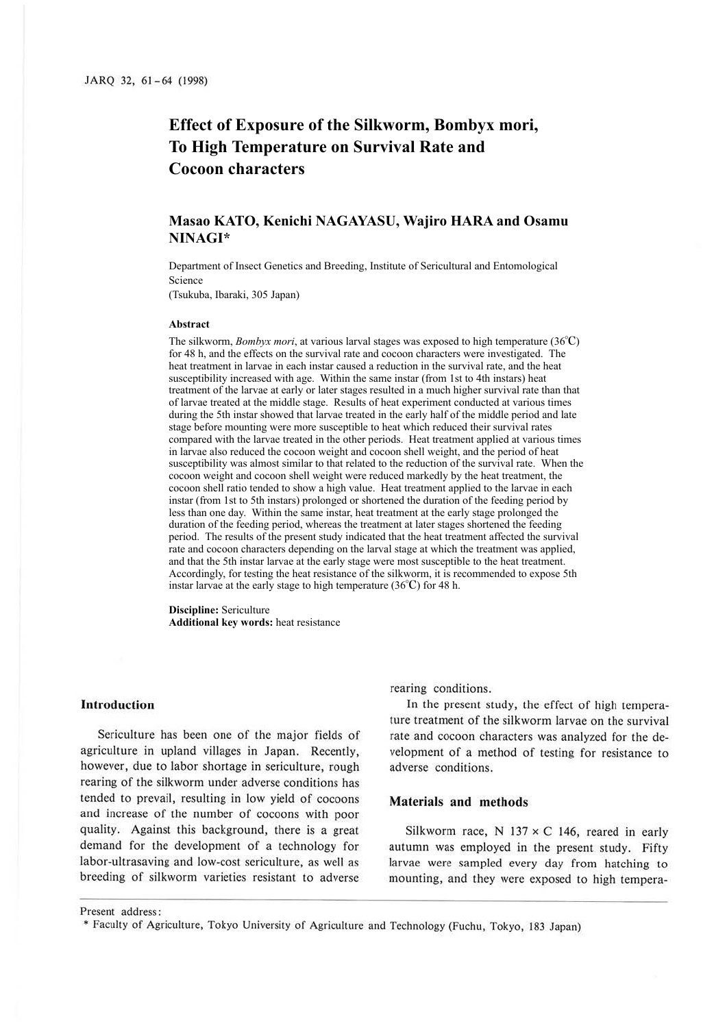# **Effect of Exposure of the Silkworm, Bombyx mori, To High Temperature on Survival Rate and Cocoon characters**

# **Masao KATO, Kenichi NAGAYASU, Wajiro HARA and Osamu NINAGI\***

Department of Insect Genetics and Breeding, Institute of Sericultural and Entomological Science

(Tsukuba, Ibaraki, 305 Japan)

#### **Abstract**

The silkworm, *Bombyx mori*, at various larval stages was exposed to high temperature (36℃) for 48 h, and the effects on the survival rate and cocoon characters were investigated. The heat treatment in larvae in each instar caused a reduction in the survival rate, and the heat susceptibility increased with age. Within the same instar (from 1st to 4th instars) heat treatment of the larvae at early or later stages resulted in a much higher survival rate than that of larvae treated at the middle stage. Results of heat experiment conducted at various times during the 5th instar showed that larvae treated in the early half of the middle period and late stage before mounting were more susceptible to heat which reduced their survival rates compared with the larvae treated in the other periods. Heat treatment applied at various times in larvae also reduced the cocoon weight and cocoon shell weight, and the period of heat susceptibility was almost similar to that related to the reduction of the survival rate. When the cocoon weight and cocoon shell weight were reduced markedly by the heat treatment, the cocoon shell ratio tended to show a high value. Heat treatment applied to the larvae in each instar (from 1st to 5th instars) prolonged or shortened the duration of the feeding period by less than one day. Within the same instar, heat treatment at the early stage prolonged the duration of the feeding period, whereas the treatment at later stages shortened the feeding period. The results of the present study indicated that the heat treatment affected the survival rate and cocoon characters depending on the larval stage at which the treatment was applied, and that the 5th instar larvae at the early stage were most susceptible to the heat treatment. Accordingly, for testing the heat resistance of the silkworm, it is recommended to expose 5th instar larvae at the early stage to high temperature (36℃) for 48 h.

**Discipline:** Sericulture **Additional key words:** heat resistance

## **Introduction**

Sericulture has been one of the major fields of agriculture in upland villages in Japan. Recently, however, due to labor shortage in sericulture, rough rearing of the silkworm under adverse conditions has tended to prevail, resulting in low yield of cocoons and increase of the number of cocoons with poor quality. Against this background, there is a great demand for the development of a technology for labor-ultrasaving and low-cost sericulture, as well as breeding of silkworm varieties resistant to adverse

rearing conditions.

In the present study, the effect of high temperature treatment of the silkworm larvae on the survival rate and cocoon characters was analyzed for the development of a method of testing for resistance to adverse conditions.

#### **Materials and methods**

Silkworm race, N  $137 \times C$  146, reared in early autumn was employed in the present study. Fifty larvae were sampled every day from hatching to mounting, and they were exposed to high tempera-

Present address:

<sup>•</sup> Faculty of Agriculture, Tokyo University of Agriculture and Technology (Fuchu, Tokyo, 183 Japan)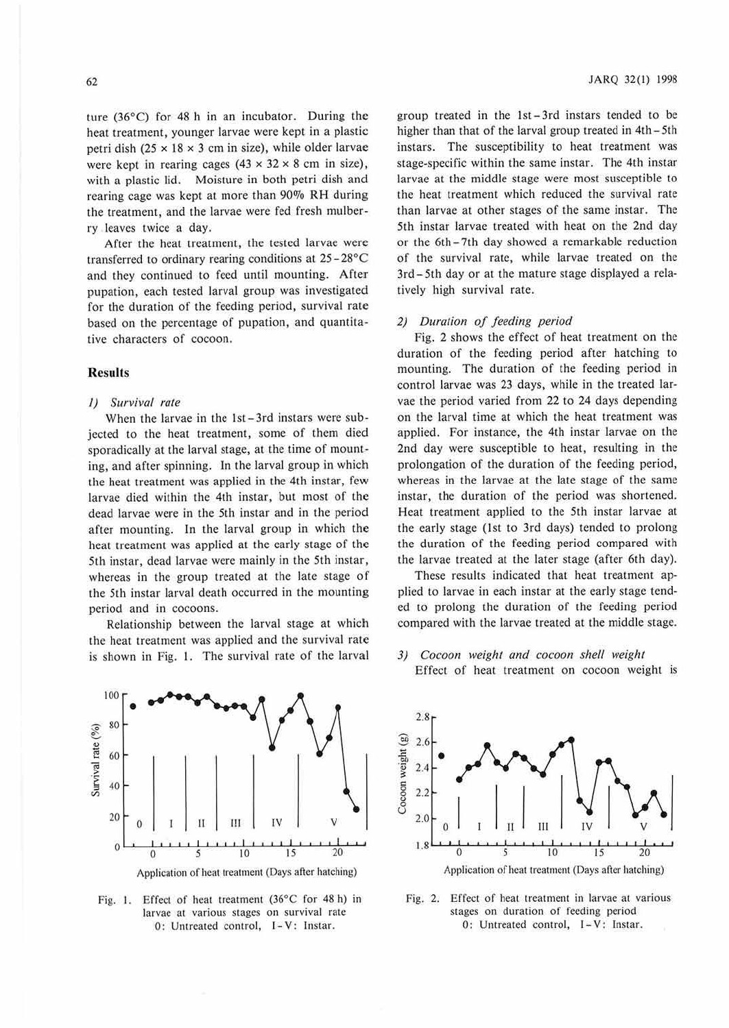ture  $(36^{\circ}$ C) for 48 h in an incubator. During the heat treatment, younger larvae were kept in a plastic petri dish (25  $\times$  18  $\times$  3 cm in size), while older larvae were kept in rearing cages  $(43 \times 32 \times 8 \text{ cm} \text{ in size})$ , with a plastic lid. Moisture in both petri dish and rearing cage was kept at more than 90% RH during the treatmem, and the larvae were fed fresh mulberry leaves twice a day.

After the heat treatment, the tested larvae were transferred to ordinary rearing conditions at  $25-28^{\circ}$ C and they continued to feed until mounting. After pupation, each tested larval group was investigated for the duration of the feeding period, survival rate based on the percentage of pupation, and quantitative characters of cocoon.

#### **Results**

#### *I) Survival rate*

When the larvae in the 1st-3rd instars were subjected to the heat treatment, some of them died sporadically at the larval stage, at the time of mounting, and after spinning. In the larval group in whicb the heat treatment was applied in the 4th instar, few larvae died within the 4th instar, but most of the dead larvae were in the 5th instar and in the period after mounting. In the larval group in which the heat treatment was applied at the early stage of the 5th instar, dead larvae were mainly in the 5th instar, whereas in the group treated at the late stage of the Sch instar larval death occurred in the mounting period and in cocoons.

Relationship between the larval stage at which the heat treatment was applied and the survival rate is shown in Fig. I. The survival rate of the larval



Fig. I. Effect of heat treatment (36°C for 48 h) in larvae at various stages on survival rate 0: Untreated control, 1-V: lnstar.

group treated in the 1st-3rd instars tended to be higher than that of the larval group treated in 4th - 5th instars. The susceptibility to heat treatment was stage-specific within the same instar. The 4th instar larvae at the middle stage were most susceptible to the heat treatment which reduced the survival rate than larvae at other stages of the same instar. The 5th instar larvae treated with heat on the 2nd day or the 6th - 7th day showed a remarkable reduction of the survival rate, while larvae treated on the 3rd-5th day or at the mature stage displayed a relatively high survival rate.

#### *2) Duration of feeding period*

Fig. 2 shows the effect of heat treatment on the duration of the feeding period after hatching to mounting. The duration of the feeding period in control larvae was 23 days, while in the treated larvae the period varied from 22 to 24 days depending on the larval time at which the heat treatment was applied. For instance, the 4th instar larvae on the 2nd day were susceptible to heat, resulting in the prolongation of the duration of the feeding period, whereas in the larvae at the late stage of the same instar, the duration of the period was shortened. Heat treatment applied to the 5th instar larvae at the early stage (1st to 3rd days) tended to prolong the duration of the feeding period compared with the larvae treated at the later stage (after 6th day).

These results indicated that heat treatment applied to larvae in each instar at the early stage tended to prolong the duration of the feeding period compared with the larvae treated at the middle stage.

#### *3) Cocoon weight and cocoon shell weight*

Effect of heat treatment on cocoon weight is



Fig. 2. Effect of heat treatment in larvae at various stages on duration of feeding period 0: Untreated control, 1-V: lnstar.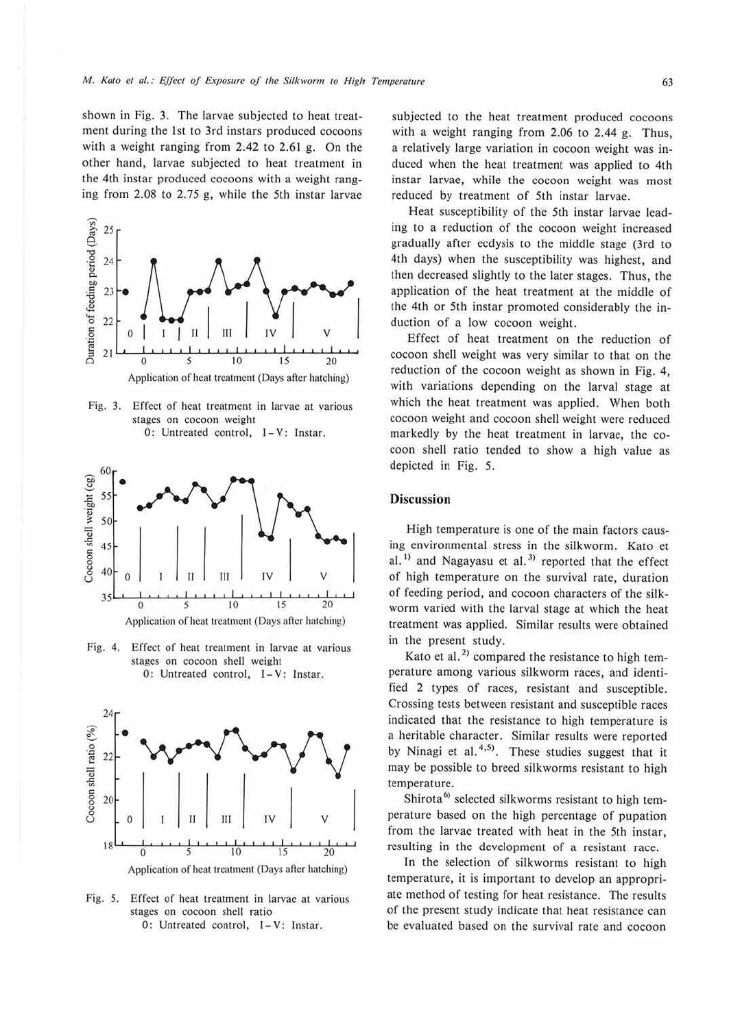shown in Fig. 3. The larvae subjected to heat treatment during the 1st to 3rd instars produced cocoons with a weight ranging from 2.42 to 2.61 g. On the other hand, larvae subjected to heat treatment in the 4th instar produced cocoons with a weight ranging from 2.08 to 2.75 g, while the 5th instar larvae



Fig. 3. Effect of heat treatment in larvae at various stages on cocoon weight 0: Untreated control, I-V: Instar.



Fig. 4. Effect of heat treatment in larvae at various stages on cocoon shell weight 0: Untreated control, I-V: Instar.



Fig. *5.* Effect of heat treatment in larvae at various stages on cocoon shell ratio 0: Untreated control, 1-V: lnstar.

subjected to the heat treatment produced cocoons with a weight ranging from  $2.06$  to  $2.44$  g. Thus, a relatively large variation in cocoon weight was induced when the heat treatment was applied to 4th instar larvae, while the cocoon weight was most reduced by treatment of 5th instar larvae.

Heat susceptibility of the 5th instar larvae leading to a reduction of the cocoon weight increased gradually after ecdysis to the middle stage (3rd *to*  4th days) when the susceptibility was highest, and then decreased slightly to the later stages. Thus, the application of the heat treatment at the middle of the 4th or 5th instar promoted considerably the induction of a low cocoon weight.

Effect of heat treatment on the reduction of cocoon shell weight was very similar to that on the reduction of the cocoon weight as shown in Fig. 4, with variations depending on the larval stage at which the heat treatment was applied. When both cocoon weight and cocoon shell weight were reduced markedly by the heat treatment in larvae, the cocoon shell ratio tended to show a high value as depicted in Fig. 5.

### **Discussion**

High temperature is one of the main factors causing environmental stress in the silkworm. Kato et al.<sup>1)</sup> and Nagayasu et al.<sup>3)</sup> reported that the effect of high temperature on the survival rate, duration of feeding period, and cocoon characters of the silkworm varied with the larval stage at which the heat treatment was applied. Similar results were obtained in the present study.

Kato et al.<sup>2)</sup> compared the resistance to high temperature among various silkworm races, and identified 2 types of races, resistant and susceptible. Crossing tests between resistant and susceptible races indicated that the resistance to high temperature is a heritable character. Similar results were reported by Ninagi et al.<sup>4,5)</sup>. These studies suggest that it may be possible to breed silkworms resistant to high temperature.

Shirota<sup>6)</sup> selected silkworms resistant to high temperature based on the high percentage of pupation from the larvae treated with heat in the 5th instar, resulting in the development of a resistant race.

In the selection of silkworms resistant to high temperature, it is important to develop an appropriate method of testing for heat resistance. The results of the present study indicate that heat resistance can be evaluated based on the survival rate and cocoon